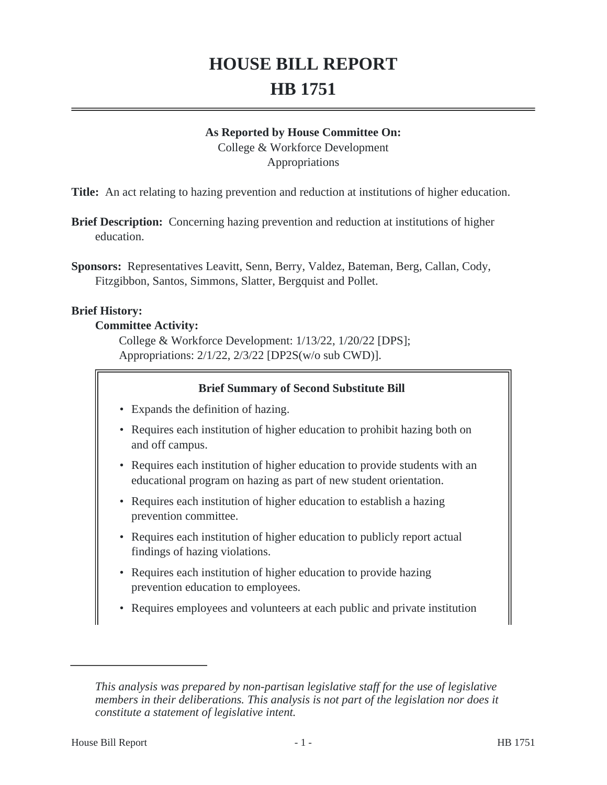# **HOUSE BILL REPORT HB 1751**

#### **As Reported by House Committee On:**

College & Workforce Development Appropriations

**Title:** An act relating to hazing prevention and reduction at institutions of higher education.

- **Brief Description:** Concerning hazing prevention and reduction at institutions of higher education.
- **Sponsors:** Representatives Leavitt, Senn, Berry, Valdez, Bateman, Berg, Callan, Cody, Fitzgibbon, Santos, Simmons, Slatter, Bergquist and Pollet.

#### **Brief History:**

#### **Committee Activity:**

College & Workforce Development: 1/13/22, 1/20/22 [DPS]; Appropriations: 2/1/22, 2/3/22 [DP2S(w/o sub CWD)].

#### **Brief Summary of Second Substitute Bill**

- Expands the definition of hazing.
- Requires each institution of higher education to prohibit hazing both on and off campus.
- Requires each institution of higher education to provide students with an educational program on hazing as part of new student orientation.
- Requires each institution of higher education to establish a hazing prevention committee.
- Requires each institution of higher education to publicly report actual findings of hazing violations.
- Requires each institution of higher education to provide hazing prevention education to employees.
- Requires employees and volunteers at each public and private institution

*This analysis was prepared by non-partisan legislative staff for the use of legislative members in their deliberations. This analysis is not part of the legislation nor does it constitute a statement of legislative intent.*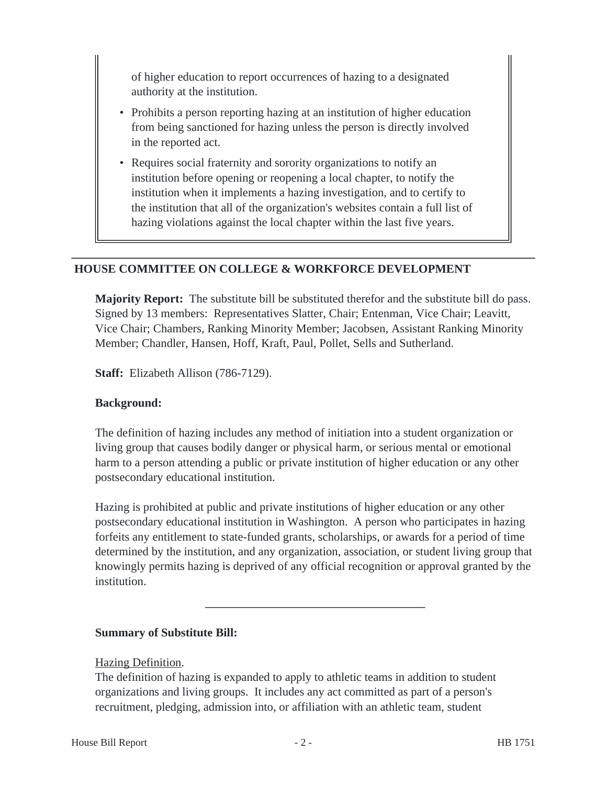of higher education to report occurrences of hazing to a designated authority at the institution.

- Prohibits a person reporting hazing at an institution of higher education from being sanctioned for hazing unless the person is directly involved in the reported act.
- Requires social fraternity and sorority organizations to notify an institution before opening or reopening a local chapter, to notify the institution when it implements a hazing investigation, and to certify to the institution that all of the organization's websites contain a full list of hazing violations against the local chapter within the last five years.

#### **HOUSE COMMITTEE ON COLLEGE & WORKFORCE DEVELOPMENT**

**Majority Report:** The substitute bill be substituted therefor and the substitute bill do pass. Signed by 13 members: Representatives Slatter, Chair; Entenman, Vice Chair; Leavitt, Vice Chair; Chambers, Ranking Minority Member; Jacobsen, Assistant Ranking Minority Member; Chandler, Hansen, Hoff, Kraft, Paul, Pollet, Sells and Sutherland.

**Staff:** Elizabeth Allison (786-7129).

#### **Background:**

The definition of hazing includes any method of initiation into a student organization or living group that causes bodily danger or physical harm, or serious mental or emotional harm to a person attending a public or private institution of higher education or any other postsecondary educational institution.

Hazing is prohibited at public and private institutions of higher education or any other postsecondary educational institution in Washington. A person who participates in hazing forfeits any entitlement to state-funded grants, scholarships, or awards for a period of time determined by the institution, and any organization, association, or student living group that knowingly permits hazing is deprived of any official recognition or approval granted by the institution.

## **Summary of Substitute Bill:**

#### Hazing Definition.

The definition of hazing is expanded to apply to athletic teams in addition to student organizations and living groups. It includes any act committed as part of a person's recruitment, pledging, admission into, or affiliation with an athletic team, student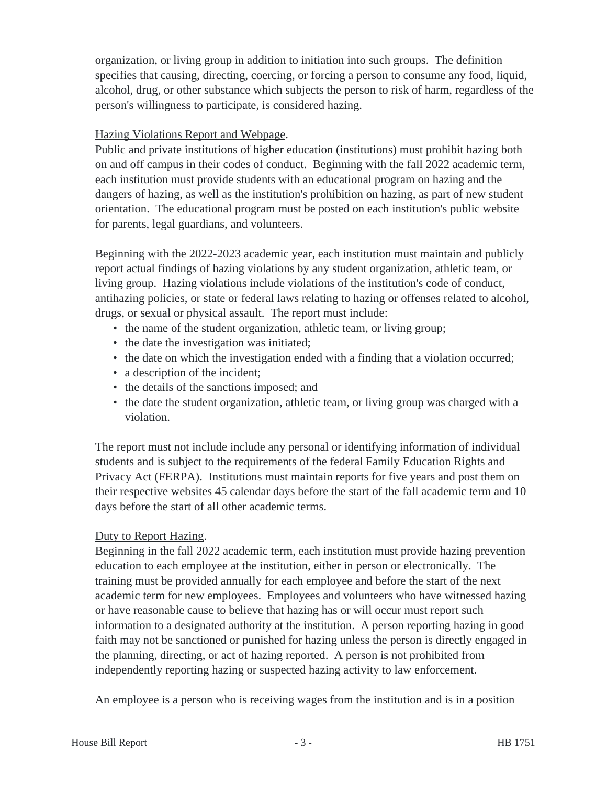organization, or living group in addition to initiation into such groups. The definition specifies that causing, directing, coercing, or forcing a person to consume any food, liquid, alcohol, drug, or other substance which subjects the person to risk of harm, regardless of the person's willingness to participate, is considered hazing.

## Hazing Violations Report and Webpage.

Public and private institutions of higher education (institutions) must prohibit hazing both on and off campus in their codes of conduct. Beginning with the fall 2022 academic term, each institution must provide students with an educational program on hazing and the dangers of hazing, as well as the institution's prohibition on hazing, as part of new student orientation. The educational program must be posted on each institution's public website for parents, legal guardians, and volunteers.

Beginning with the 2022-2023 academic year, each institution must maintain and publicly report actual findings of hazing violations by any student organization, athletic team, or living group. Hazing violations include violations of the institution's code of conduct, antihazing policies, or state or federal laws relating to hazing or offenses related to alcohol, drugs, or sexual or physical assault. The report must include:

- the name of the student organization, athletic team, or living group;
- the date the investigation was initiated;
- the date on which the investigation ended with a finding that a violation occurred;
- a description of the incident;
- the details of the sanctions imposed; and
- the date the student organization, athletic team, or living group was charged with a violation.

The report must not include include any personal or identifying information of individual students and is subject to the requirements of the federal Family Education Rights and Privacy Act (FERPA). Institutions must maintain reports for five years and post them on their respective websites 45 calendar days before the start of the fall academic term and 10 days before the start of all other academic terms.

## Duty to Report Hazing.

Beginning in the fall 2022 academic term, each institution must provide hazing prevention education to each employee at the institution, either in person or electronically. The training must be provided annually for each employee and before the start of the next academic term for new employees. Employees and volunteers who have witnessed hazing or have reasonable cause to believe that hazing has or will occur must report such information to a designated authority at the institution. A person reporting hazing in good faith may not be sanctioned or punished for hazing unless the person is directly engaged in the planning, directing, or act of hazing reported. A person is not prohibited from independently reporting hazing or suspected hazing activity to law enforcement.

An employee is a person who is receiving wages from the institution and is in a position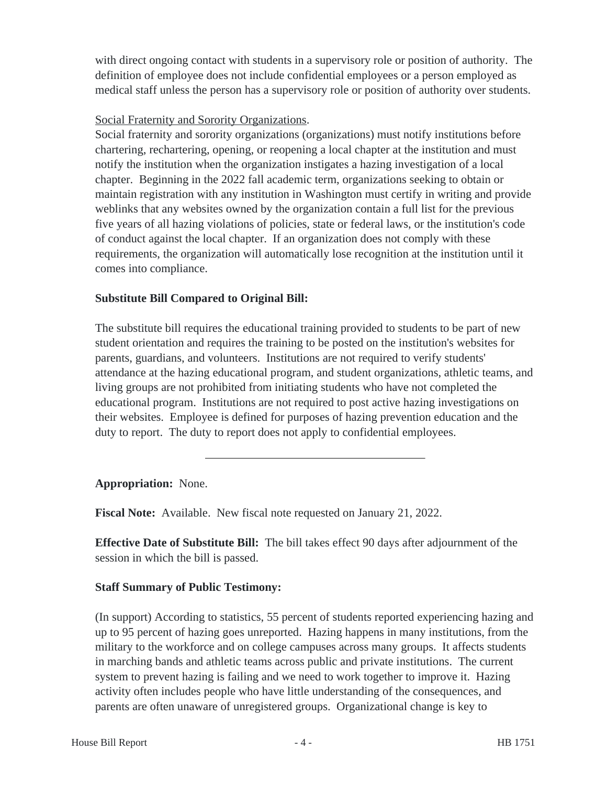with direct ongoing contact with students in a supervisory role or position of authority. The definition of employee does not include confidential employees or a person employed as medical staff unless the person has a supervisory role or position of authority over students.

## Social Fraternity and Sorority Organizations.

Social fraternity and sorority organizations (organizations) must notify institutions before chartering, rechartering, opening, or reopening a local chapter at the institution and must notify the institution when the organization instigates a hazing investigation of a local chapter. Beginning in the 2022 fall academic term, organizations seeking to obtain or maintain registration with any institution in Washington must certify in writing and provide weblinks that any websites owned by the organization contain a full list for the previous five years of all hazing violations of policies, state or federal laws, or the institution's code of conduct against the local chapter. If an organization does not comply with these requirements, the organization will automatically lose recognition at the institution until it comes into compliance.

## **Substitute Bill Compared to Original Bill:**

The substitute bill requires the educational training provided to students to be part of new student orientation and requires the training to be posted on the institution's websites for parents, guardians, and volunteers. Institutions are not required to verify students' attendance at the hazing educational program, and student organizations, athletic teams, and living groups are not prohibited from initiating students who have not completed the educational program. Institutions are not required to post active hazing investigations on their websites. Employee is defined for purposes of hazing prevention education and the duty to report. The duty to report does not apply to confidential employees.

# **Appropriation:** None.

**Fiscal Note:** Available. New fiscal note requested on January 21, 2022.

**Effective Date of Substitute Bill:** The bill takes effect 90 days after adjournment of the session in which the bill is passed.

# **Staff Summary of Public Testimony:**

(In support) According to statistics, 55 percent of students reported experiencing hazing and up to 95 percent of hazing goes unreported. Hazing happens in many institutions, from the military to the workforce and on college campuses across many groups. It affects students in marching bands and athletic teams across public and private institutions. The current system to prevent hazing is failing and we need to work together to improve it. Hazing activity often includes people who have little understanding of the consequences, and parents are often unaware of unregistered groups. Organizational change is key to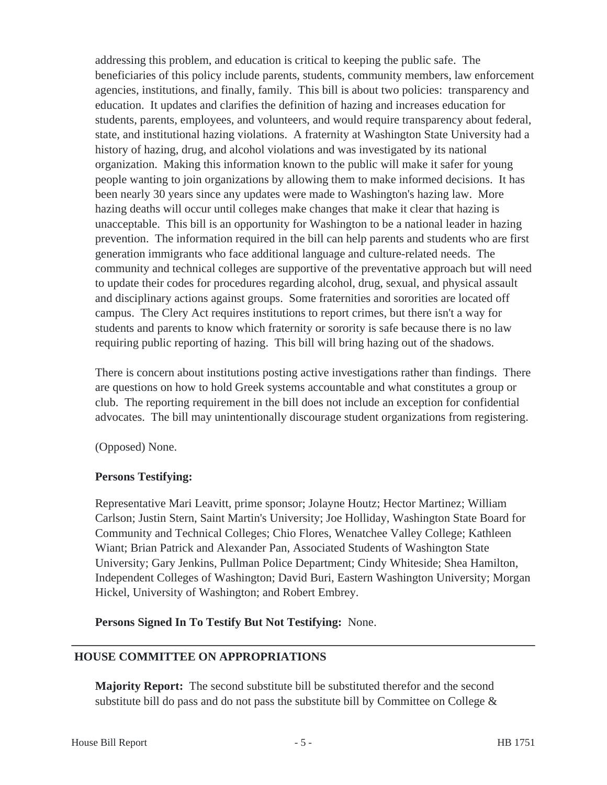addressing this problem, and education is critical to keeping the public safe. The beneficiaries of this policy include parents, students, community members, law enforcement agencies, institutions, and finally, family. This bill is about two policies: transparency and education. It updates and clarifies the definition of hazing and increases education for students, parents, employees, and volunteers, and would require transparency about federal, state, and institutional hazing violations. A fraternity at Washington State University had a history of hazing, drug, and alcohol violations and was investigated by its national organization. Making this information known to the public will make it safer for young people wanting to join organizations by allowing them to make informed decisions. It has been nearly 30 years since any updates were made to Washington's hazing law. More hazing deaths will occur until colleges make changes that make it clear that hazing is unacceptable. This bill is an opportunity for Washington to be a national leader in hazing prevention. The information required in the bill can help parents and students who are first generation immigrants who face additional language and culture-related needs. The community and technical colleges are supportive of the preventative approach but will need to update their codes for procedures regarding alcohol, drug, sexual, and physical assault and disciplinary actions against groups. Some fraternities and sororities are located off campus. The Clery Act requires institutions to report crimes, but there isn't a way for students and parents to know which fraternity or sorority is safe because there is no law requiring public reporting of hazing. This bill will bring hazing out of the shadows.

There is concern about institutions posting active investigations rather than findings. There are questions on how to hold Greek systems accountable and what constitutes a group or club. The reporting requirement in the bill does not include an exception for confidential advocates. The bill may unintentionally discourage student organizations from registering.

(Opposed) None.

## **Persons Testifying:**

Representative Mari Leavitt, prime sponsor; Jolayne Houtz; Hector Martinez; William Carlson; Justin Stern, Saint Martin's University; Joe Holliday, Washington State Board for Community and Technical Colleges; Chio Flores, Wenatchee Valley College; Kathleen Wiant; Brian Patrick and Alexander Pan, Associated Students of Washington State University; Gary Jenkins, Pullman Police Department; Cindy Whiteside; Shea Hamilton, Independent Colleges of Washington; David Buri, Eastern Washington University; Morgan Hickel, University of Washington; and Robert Embrey.

**Persons Signed In To Testify But Not Testifying:** None.

# **HOUSE COMMITTEE ON APPROPRIATIONS**

**Majority Report:** The second substitute bill be substituted therefor and the second substitute bill do pass and do not pass the substitute bill by Committee on College  $\&$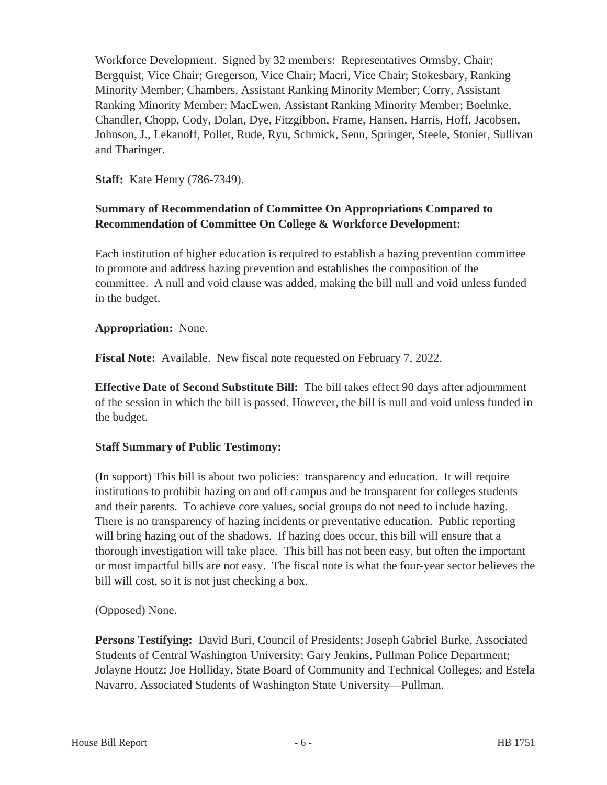Workforce Development. Signed by 32 members: Representatives Ormsby, Chair; Bergquist, Vice Chair; Gregerson, Vice Chair; Macri, Vice Chair; Stokesbary, Ranking Minority Member; Chambers, Assistant Ranking Minority Member; Corry, Assistant Ranking Minority Member; MacEwen, Assistant Ranking Minority Member; Boehnke, Chandler, Chopp, Cody, Dolan, Dye, Fitzgibbon, Frame, Hansen, Harris, Hoff, Jacobsen, Johnson, J., Lekanoff, Pollet, Rude, Ryu, Schmick, Senn, Springer, Steele, Stonier, Sullivan and Tharinger.

**Staff:** Kate Henry (786-7349).

## **Summary of Recommendation of Committee On Appropriations Compared to Recommendation of Committee On College & Workforce Development:**

Each institution of higher education is required to establish a hazing prevention committee to promote and address hazing prevention and establishes the composition of the committee. A null and void clause was added, making the bill null and void unless funded in the budget.

## **Appropriation:** None.

**Fiscal Note:** Available. New fiscal note requested on February 7, 2022.

**Effective Date of Second Substitute Bill:** The bill takes effect 90 days after adjournment of the session in which the bill is passed. However, the bill is null and void unless funded in the budget.

# **Staff Summary of Public Testimony:**

(In support) This bill is about two policies: transparency and education. It will require institutions to prohibit hazing on and off campus and be transparent for colleges students and their parents. To achieve core values, social groups do not need to include hazing. There is no transparency of hazing incidents or preventative education. Public reporting will bring hazing out of the shadows. If hazing does occur, this bill will ensure that a thorough investigation will take place. This bill has not been easy, but often the important or most impactful bills are not easy. The fiscal note is what the four-year sector believes the bill will cost, so it is not just checking a box.

(Opposed) None.

**Persons Testifying:** David Buri, Council of Presidents; Joseph Gabriel Burke, Associated Students of Central Washington University; Gary Jenkins, Pullman Police Department; Jolayne Houtz; Joe Holliday, State Board of Community and Technical Colleges; and Estela Navarro, Associated Students of Washington State University—Pullman.